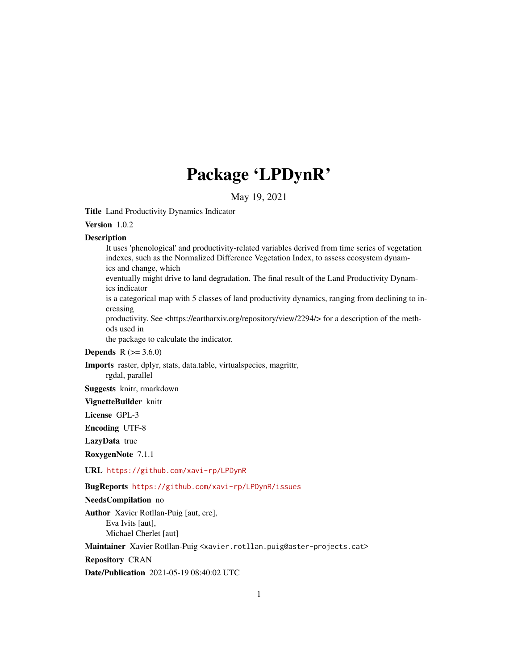# Package 'LPDynR'

May 19, 2021

<span id="page-0-0"></span>Title Land Productivity Dynamics Indicator

Version 1.0.2

# **Description**

It uses 'phenological' and productivity-related variables derived from time series of vegetation indexes, such as the Normalized Difference Vegetation Index, to assess ecosystem dynamics and change, which

eventually might drive to land degradation. The final result of the Land Productivity Dynamics indicator

is a categorical map with 5 classes of land productivity dynamics, ranging from declining to increasing

productivity. See <https://eartharxiv.org/repository/view/2294/> for a description of the methods used in

the package to calculate the indicator.

# **Depends** R  $(>= 3.6.0)$

Imports raster, dplyr, stats, data.table, virtualspecies, magrittr, rgdal, parallel

Suggests knitr, rmarkdown

VignetteBuilder knitr

License GPL-3

Encoding UTF-8

LazyData true

RoxygenNote 7.1.1

URL <https://github.com/xavi-rp/LPDynR>

BugReports <https://github.com/xavi-rp/LPDynR/issues>

#### NeedsCompilation no

Author Xavier Rotllan-Puig [aut, cre], Eva Ivits [aut], Michael Cherlet [aut]

Maintainer Xavier Rotllan-Puig <xavier.rotllan.puig@aster-projects.cat>

Repository CRAN

Date/Publication 2021-05-19 08:40:02 UTC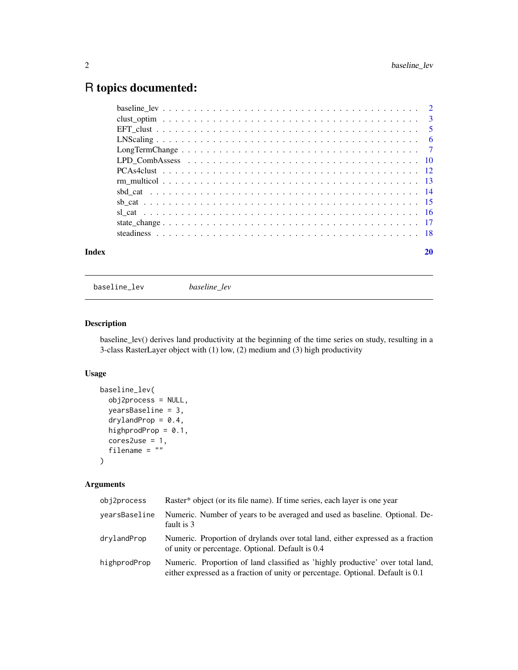# <span id="page-1-0"></span>R topics documented:

| Index |                                                                                                                |  |
|-------|----------------------------------------------------------------------------------------------------------------|--|
|       |                                                                                                                |  |
|       |                                                                                                                |  |
|       |                                                                                                                |  |
|       |                                                                                                                |  |
|       |                                                                                                                |  |
|       |                                                                                                                |  |
|       |                                                                                                                |  |
|       | LPD CombAssess $\ldots \ldots \ldots \ldots \ldots \ldots \ldots \ldots \ldots \ldots \ldots \ldots \ldots 10$ |  |
|       |                                                                                                                |  |
|       |                                                                                                                |  |
|       |                                                                                                                |  |
|       |                                                                                                                |  |
|       |                                                                                                                |  |

<span id="page-1-1"></span>baseline\_lev *baseline\_lev*

# Description

baseline\_lev() derives land productivity at the beginning of the time series on study, resulting in a 3-class RasterLayer object with (1) low, (2) medium and (3) high productivity

# Usage

```
baseline_lev(
 obj2process = NULL,
 yearsBaseline = 3,
 drylandProp = 0.4,
 highprodProp = 0.1,
 cores2use = 1,
  filename = "")
```
# Arguments

| obj2process   | Raster* object (or its file name). If time series, each layer is one year                                                                                         |
|---------------|-------------------------------------------------------------------------------------------------------------------------------------------------------------------|
| yearsBaseline | Numeric. Number of years to be averaged and used as baseline. Optional. De-<br>fault is 3                                                                         |
| drylandProp   | Numeric. Proportion of drylands over total land, either expressed as a fraction<br>of unity or percentage. Optional. Default is 0.4                               |
| highprodProp  | Numeric. Proportion of land classified as 'highly productive' over total land,<br>either expressed as a fraction of unity or percentage. Optional. Default is 0.1 |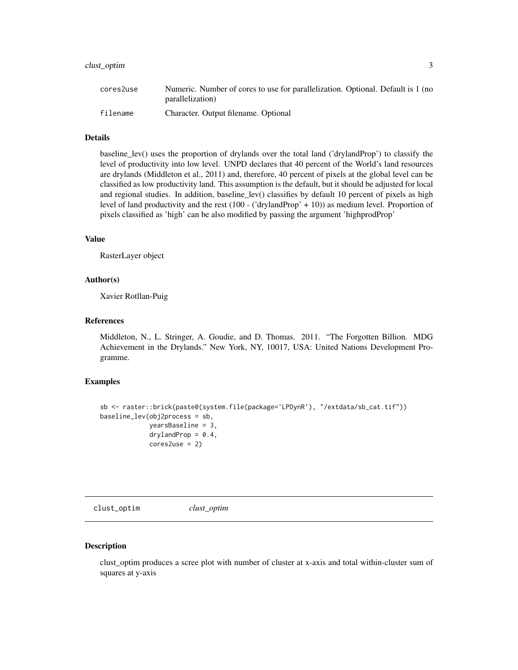# <span id="page-2-0"></span>clust\_optim 3

| cores2use | Numeric. Number of cores to use for parallelization. Optional. Default is 1 (no |
|-----------|---------------------------------------------------------------------------------|
|           | parallelization)                                                                |
| filename  | Character. Output filename. Optional                                            |

#### Details

baseline\_lev() uses the proportion of drylands over the total land ('drylandProp') to classify the level of productivity into low level. UNPD declares that 40 percent of the World's land resources are drylands (Middleton et al., 2011) and, therefore, 40 percent of pixels at the global level can be classified as low productivity land. This assumption is the default, but it should be adjusted for local and regional studies. In addition, baseline\_lev() classifies by default 10 percent of pixels as high level of land productivity and the rest (100 - ('drylandProp' + 10)) as medium level. Proportion of pixels classified as 'high' can be also modified by passing the argument 'highprodProp'

#### Value

RasterLayer object

#### Author(s)

Xavier Rotllan-Puig

#### References

Middleton, N., L. Stringer, A. Goudie, and D. Thomas. 2011. "The Forgotten Billion. MDG Achievement in the Drylands." New York, NY, 10017, USA: United Nations Development Programme.

# Examples

```
sb <- raster::brick(paste0(system.file(package='LPDynR'), "/extdata/sb_cat.tif"))
baseline_lev(obj2process = sb,
             yearsBaseline = 3,
             drylandProp = 0.4,
             cores2use = 2)
```
<span id="page-2-1"></span>clust\_optim *clust\_optim*

#### Description

clust\_optim produces a scree plot with number of cluster at x-axis and total within-cluster sum of squares at y-axis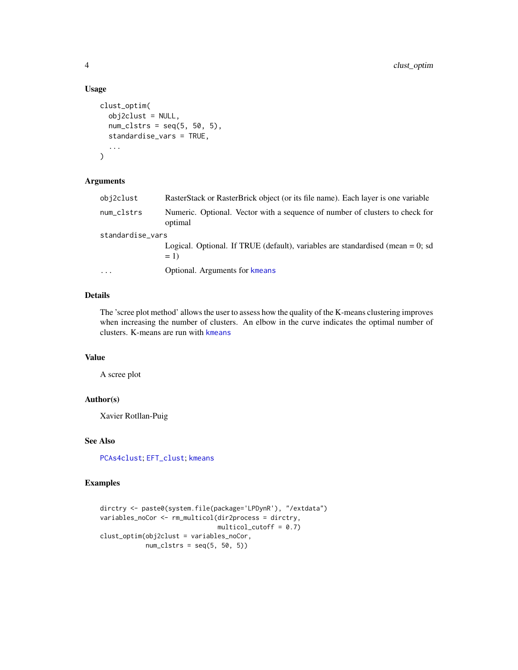# Usage

```
clust_optim(
  obj2clust = NULL,
  num\_clstrs = seq(5, 50, 5),standardise_vars = TRUE,
  ...
\mathcal{L}
```
# Arguments

| obj2clust        | RasterStack or RasterBrick object (or its file name). Each layer is one variable           |
|------------------|--------------------------------------------------------------------------------------------|
| num_clstrs       | Numeric. Optional. Vector with a sequence of number of clusters to check for<br>optimal    |
| standardise_vars |                                                                                            |
|                  | Logical. Optional. If TRUE (default), variables are standardised (mean $= 0$ ; sd<br>$= 1$ |
| $\ddots$         | Optional. Arguments for kmeans                                                             |

# Details

The 'scree plot method' allows the user to assess how the quality of the K-means clustering improves when increasing the number of clusters. An elbow in the curve indicates the optimal number of clusters. K-means are run with [kmeans](#page-0-0)

# Value

A scree plot

# Author(s)

Xavier Rotllan-Puig

# See Also

[PCAs4clust](#page-11-1); [EFT\\_clust](#page-4-1); [kmeans](#page-0-0)

```
dirctry <- paste0(system.file(package='LPDynR'), "/extdata")
variables_noCor <- rm_multicol(dir2process = dirctry,
                              multicol-cutoff = 0.7)clust_optim(obj2clust = variables_noCor,
           num\_clstrs = seq(5, 50, 5)
```
<span id="page-3-0"></span>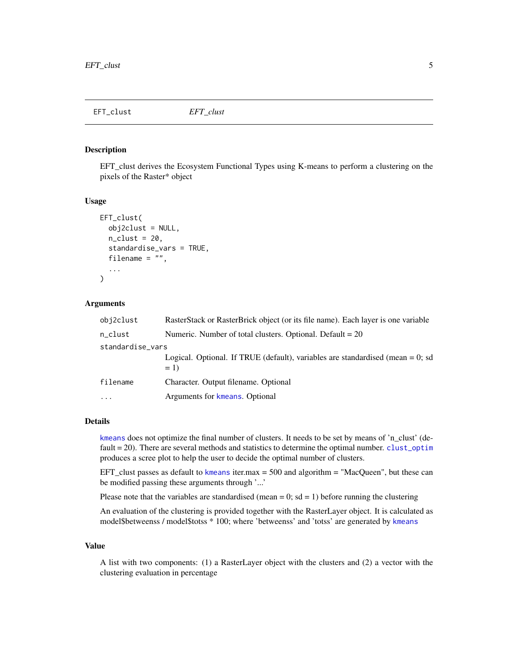<span id="page-4-1"></span><span id="page-4-0"></span>EFT\_clust *EFT\_clust*

# Description

EFT\_clust derives the Ecosystem Functional Types using K-means to perform a clustering on the pixels of the Raster\* object

#### Usage

```
EFT_clust(
  obj2clust = NULL,
  n<sup>lust = 20,</sup>
  standardise_vars = TRUE,
  filename = ",
  ...
)
```
# Arguments

| obj2clust        | RasterStack or RasterBrick object (or its file name). Each layer is one variable           |
|------------------|--------------------------------------------------------------------------------------------|
| n_clust          | Numeric. Number of total clusters. Optional. Default $= 20$                                |
| standardise_vars |                                                                                            |
|                  | Logical. Optional. If TRUE (default), variables are standardised (mean $= 0$ ; sd<br>$= 1$ |
| filename         | Character. Output filename. Optional                                                       |
| $\cdots$         | Arguments for kmeans. Optional                                                             |
|                  |                                                                                            |

#### Details

[kmeans](#page-0-0) does not optimize the final number of clusters. It needs to be set by means of 'n\_clust' (default = 20). There are several methods and statistics to determine the optimal number. [clust\\_optim](#page-2-1) produces a scree plot to help the user to decide the optimal number of clusters.

EFT\_clust passes as default to [kmeans](#page-0-0) iter.max = 500 and algorithm = "MacQueen", but these can be modified passing these arguments through '...'

Please note that the variables are standardised (mean = 0;  $sd = 1$ ) before running the clustering

An evaluation of the clustering is provided together with the RasterLayer object. It is calculated as model\$betweenss / model\$totss \* 100; where 'betweenss' and 'totss' are generated by [kmeans](#page-0-0)

#### Value

A list with two components: (1) a RasterLayer object with the clusters and (2) a vector with the clustering evaluation in percentage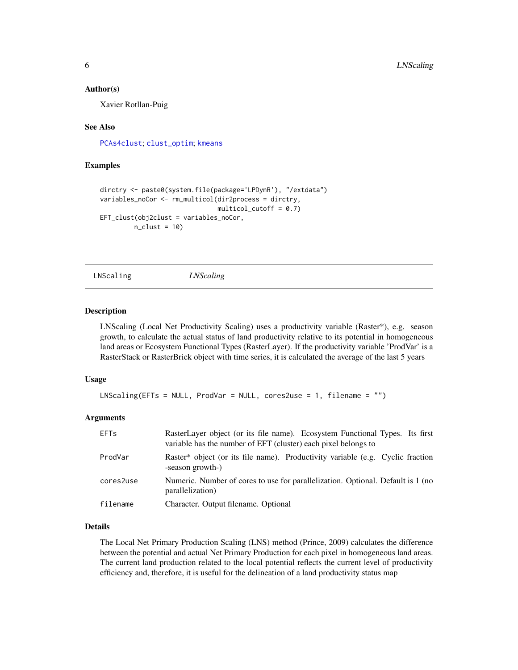#### <span id="page-5-0"></span>Author(s)

Xavier Rotllan-Puig

# See Also

[PCAs4clust](#page-11-1); [clust\\_optim](#page-2-1); [kmeans](#page-0-0)

### Examples

```
dirctry <- paste0(system.file(package='LPDynR'), "/extdata")
variables_noCor <- rm_multicol(dir2process = dirctry,
                              multicol-cutoff = 0.7EFT_clust(obj2clust = variables_noCor,
        n_{clust} = 10
```
<span id="page-5-1"></span>LNScaling *LNScaling*

#### Description

LNScaling (Local Net Productivity Scaling) uses a productivity variable (Raster\*), e.g. season growth, to calculate the actual status of land productivity relative to its potential in homogeneous land areas or Ecosystem Functional Types (RasterLayer). If the productivity variable 'ProdVar' is a RasterStack or RasterBrick object with time series, it is calculated the average of the last 5 years

#### Usage

```
LNScaling(EFTs = NULL, ProdVar = NULL, cores2use = 1, filename = "")
```
# Arguments

| <b>EFTs</b> | RasterLayer object (or its file name). Ecosystem Functional Types. Its first<br>variable has the number of EFT (cluster) each pixel belongs to |
|-------------|------------------------------------------------------------------------------------------------------------------------------------------------|
| ProdVar     | Raster* object (or its file name). Productivity variable (e.g. Cyclic fraction<br>-season growth-)                                             |
| cores2use   | Numeric. Number of cores to use for parallelization. Optional. Default is 1 (no<br>parallelization)                                            |
| filename    | Character. Output filename. Optional                                                                                                           |

# Details

The Local Net Primary Production Scaling (LNS) method (Prince, 2009) calculates the difference between the potential and actual Net Primary Production for each pixel in homogeneous land areas. The current land production related to the local potential reflects the current level of productivity efficiency and, therefore, it is useful for the delineation of a land productivity status map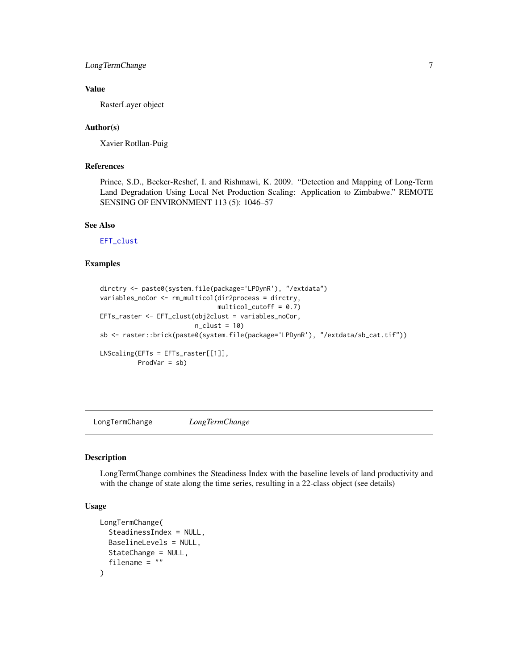# <span id="page-6-0"></span>LongTermChange 7

# Value

RasterLayer object

# Author(s)

Xavier Rotllan-Puig

# **References**

Prince, S.D., Becker-Reshef, I. and Rishmawi, K. 2009. "Detection and Mapping of Long-Term Land Degradation Using Local Net Production Scaling: Application to Zimbabwe." REMOTE SENSING OF ENVIRONMENT 113 (5): 1046–57

#### See Also

[EFT\\_clust](#page-4-1)

# Examples

```
dirctry <- paste0(system.file(package='LPDynR'), "/extdata")
variables_noCor <- rm_multicol(dir2process = dirctry,
                                multicol_cutoff = 0.7)
EFTs_raster <- EFT_clust(obj2clust = variables_noCor,
                          n<sup>-c</sup>lust = 10)
sb <- raster::brick(paste0(system.file(package='LPDynR'), "/extdata/sb_cat.tif"))
LNScaling(EFTs = EFTs_raster[[1]],
          ProdVar = sb)
```
<span id="page-6-1"></span>LongTermChange *LongTermChange*

#### Description

LongTermChange combines the Steadiness Index with the baseline levels of land productivity and with the change of state along the time series, resulting in a 22-class object (see details)

# Usage

```
LongTermChange(
  SteadinessIndex = NULL,
 BaselineLevels = NULL,
 StateChange = NULL,
  filename = ")
```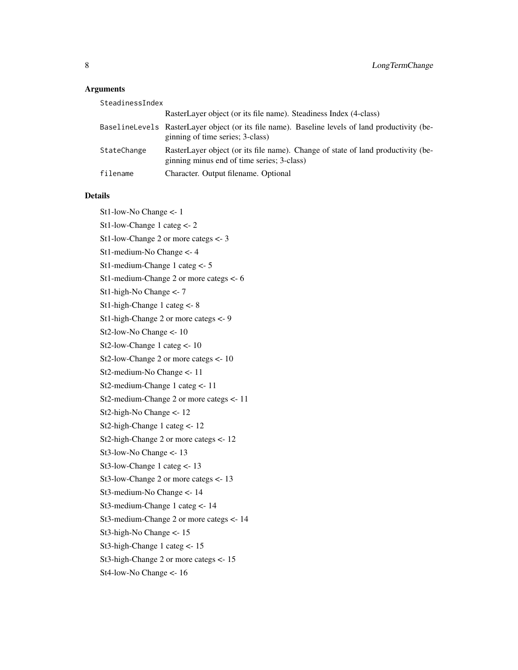# Arguments

| SteadinessIndex |                                                                                                                                     |
|-----------------|-------------------------------------------------------------------------------------------------------------------------------------|
|                 | RasterLayer object (or its file name). Steadiness Index (4-class)                                                                   |
|                 | BaselineLevels RasterLayer object (or its file name). Baseline levels of land productivity (be-<br>ginning of time series; 3-class) |
| StateChange     | RasterLayer object (or its file name). Change of state of land productivity (be-<br>ginning minus end of time series; 3-class)      |
| filename        | Character. Output filename. Optional                                                                                                |

# Details

St1-low-No Change <- 1 St1-low-Change 1 categ <- 2 St1-low-Change 2 or more categs <- 3 St1-medium-No Change <- 4 St1-medium-Change 1 categ <- 5 St1-medium-Change 2 or more categs <- 6 St1-high-No Change <- 7 St1-high-Change 1 categ <- 8 St1-high-Change 2 or more categs <- 9 St2-low-No Change <- 10 St2-low-Change 1 categ <- 10 St2-low-Change 2 or more categs <- 10 St2-medium-No Change <- 11 St2-medium-Change 1 categ <- 11 St2-medium-Change 2 or more categs <- 11 St2-high-No Change <- 12 St2-high-Change 1 categ <- 12 St2-high-Change 2 or more categs <- 12 St3-low-No Change <- 13 St3-low-Change 1 categ <- 13 St3-low-Change 2 or more categs <- 13 St3-medium-No Change <- 14 St3-medium-Change 1 categ <- 14 St3-medium-Change 2 or more categs <- 14 St3-high-No Change <- 15 St3-high-Change 1 categ <- 15 St3-high-Change 2 or more categs <- 15 St4-low-No Change <- 16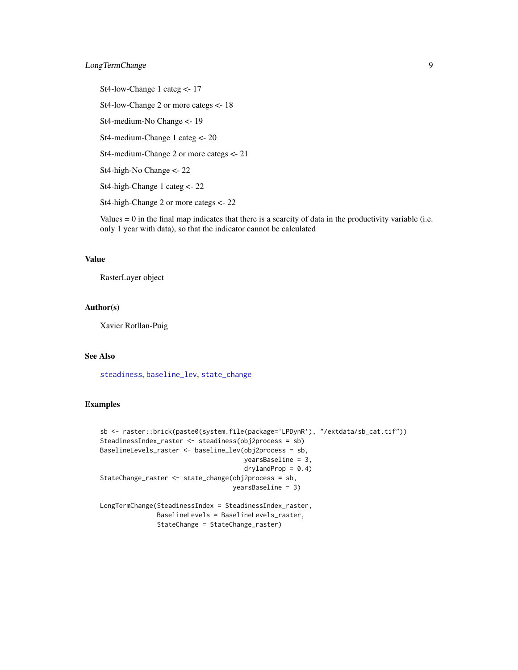# <span id="page-8-0"></span>LongTermChange 9

St4-low-Change 1 categ <- 17 St4-low-Change 2 or more categs <- 18 St4-medium-No Change <- 19 St4-medium-Change 1 categ <- 20 St4-medium-Change 2 or more categs <- 21 St4-high-No Change <- 22 St4-high-Change 1 categ <- 22 St4-high-Change 2 or more categs <- 22

Values  $= 0$  in the final map indicates that there is a scarcity of data in the productivity variable (i.e. only 1 year with data), so that the indicator cannot be calculated

# Value

RasterLayer object

#### Author(s)

Xavier Rotllan-Puig

# See Also

[steadiness](#page-17-1), [baseline\\_lev](#page-1-1), [state\\_change](#page-16-1)

```
sb <- raster::brick(paste0(system.file(package='LPDynR'), "/extdata/sb_cat.tif"))
SteadinessIndex_raster <- steadiness(obj2process = sb)
BaselineLevels_raster <- baseline_lev(obj2process = sb,
                                      yearsBaseline = 3,
                                      drylandProp = 0.4)StateChange_raster <- state_change(obj2process = sb,
                                  yearsBaseline = 3)
LongTermChange(SteadinessIndex = SteadinessIndex_raster,
               BaselineLevels = BaselineLevels_raster,
               StateChange = StateChange_raster)
```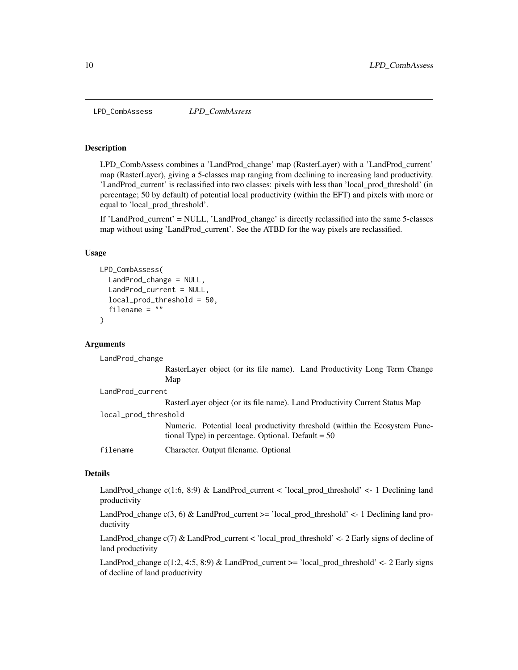<span id="page-9-0"></span>LPD\_CombAssess *LPD\_CombAssess*

# Description

LPD\_CombAssess combines a 'LandProd\_change' map (RasterLayer) with a 'LandProd\_current' map (RasterLayer), giving a 5-classes map ranging from declining to increasing land productivity. 'LandProd\_current' is reclassified into two classes: pixels with less than 'local\_prod\_threshold' (in percentage; 50 by default) of potential local productivity (within the EFT) and pixels with more or equal to 'local\_prod\_threshold'.

If 'LandProd\_current' = NULL, 'LandProd\_change' is directly reclassified into the same 5-classes map without using 'LandProd\_current'. See the ATBD for the way pixels are reclassified.

#### Usage

```
LPD_CombAssess(
 LandProd_change = NULL,
 LandProd_current = NULL,
  local_prod_threshold = 50,
  filename = ""
)
```
# Arguments

LandProd\_change

RasterLayer object (or its file name). Land Productivity Long Term Change Map

LandProd\_current RasterLayer object (or its file name). Land Productivity Current Status Map local\_prod\_threshold Numeric. Potential local productivity threshold (within the Ecosystem Functional Type) in percentage. Optional. Default  $= 50$ filename Character. Output filename. Optional

# Details

LandProd\_change c(1:6, 8:9) & LandProd\_current < 'local\_prod\_threshold' <- 1 Declining land productivity

LandProd\_change  $c(3, 6)$  & LandProd\_current  $\geq$  'local\_prod\_threshold'  $\lt$  - 1 Declining land productivity

LandProd\_change c(7) & LandProd\_current < 'local\_prod\_threshold' <- 2 Early signs of decline of land productivity

LandProd\_change  $c(1:2, 4:5, 8:9)$  & LandProd\_current  $>=$  'local\_prod\_threshold'  $\lt$ - 2 Early signs of decline of land productivity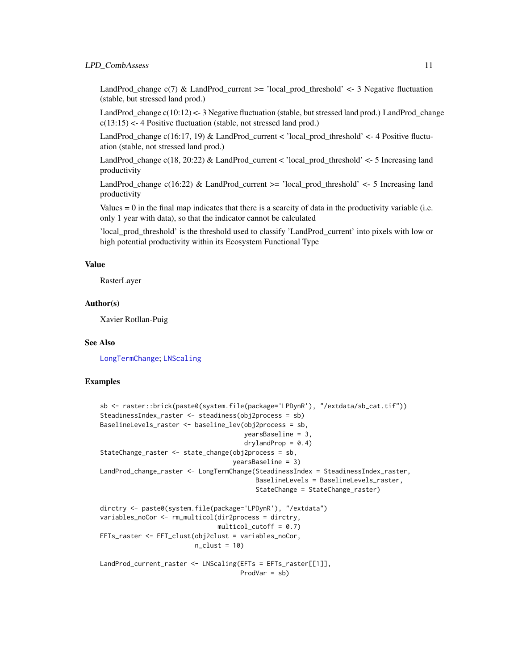#### <span id="page-10-0"></span>LPD\_CombAssess 11

LandProd\_change c(7) & LandProd\_current >= 'local\_prod\_threshold' <- 3 Negative fluctuation (stable, but stressed land prod.)

LandProd\_change  $c(10:12)$  <- 3 Negative fluctuation (stable, but stressed land prod.) LandProd\_change  $c(13:15)$  <- 4 Positive fluctuation (stable, not stressed land prod.)

LandProd\_change c(16:17, 19) & LandProd\_current < 'local\_prod\_threshold' <- 4 Positive fluctuation (stable, not stressed land prod.)

LandProd\_change c(18, 20:22) & LandProd\_current < 'local\_prod\_threshold' <- 5 Increasing land productivity

LandProd\_change  $c(16:22)$  & LandProd\_current  $>=$  'local\_prod\_threshold'  $\lt$  5 Increasing land productivity

Values  $= 0$  in the final map indicates that there is a scarcity of data in the productivity variable (i.e. only 1 year with data), so that the indicator cannot be calculated

'local\_prod\_threshold' is the threshold used to classify 'LandProd\_current' into pixels with low or high potential productivity within its Ecosystem Functional Type

# Value

RasterLayer

# Author(s)

Xavier Rotllan-Puig

# See Also

[LongTermChange](#page-6-1); [LNScaling](#page-5-1)

```
sb <- raster::brick(paste0(system.file(package='LPDynR'), "/extdata/sb_cat.tif"))
SteadinessIndex_raster <- steadiness(obj2process = sb)
BaselineLevels_raster <- baseline_lev(obj2process = sb,
                                      yearsBaseline = 3,
                                      drylandProp = 0.4)StateChange_raster <- state_change(obj2process = sb,
                                  yearsBaseline = 3)
LandProd_change_raster <- LongTermChange(SteadinessIndex = SteadinessIndex_raster,
                                         BaselineLevels = BaselineLevels_raster,
                                         StateChange = StateChange_raster)
dirctry <- paste0(system.file(package='LPDynR'), "/extdata")
variables_noCor <- rm_multicol(dir2process = dirctry,
                               multicol-cutoff = 0.7EFTs_raster <- EFT_clust(obj2clust = variables_noCor,
                        n_{clust} = 10LandProd_current_raster <- LNScaling(EFTs = EFTs_raster[[1]],
                                    ProdVar = sb)
```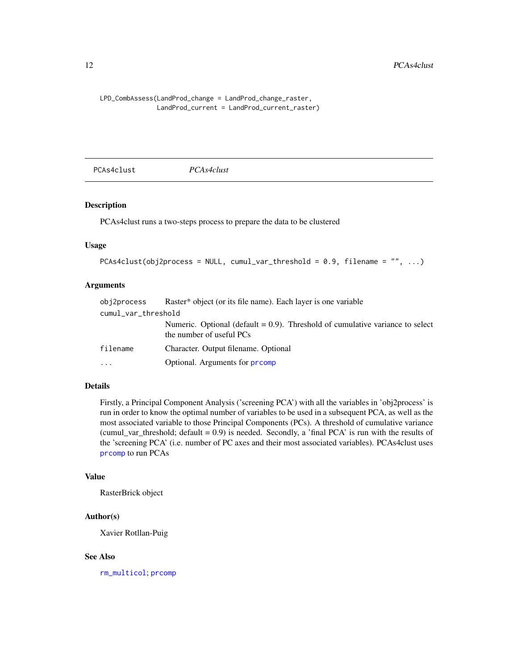```
LPD_CombAssess(LandProd_change = LandProd_change_raster,
               LandProd_current = LandProd_current_raster)
```
<span id="page-11-1"></span>PCAs4clust *PCAs4clust*

# Description

PCAs4clust runs a two-steps process to prepare the data to be clustered

# Usage

```
PCAs4clust(obj2process = NULL, cumul_var_threshold = 0.9, filename = ", ...)
```
# Arguments

| obj2process         | Raster <sup>*</sup> object (or its file name). Each layer is one variable                                    |
|---------------------|--------------------------------------------------------------------------------------------------------------|
| cumul_var_threshold |                                                                                                              |
|                     | Numeric. Optional (default $= 0.9$ ). Threshold of cumulative variance to select<br>the number of useful PCs |
| filename            | Character. Output filename. Optional                                                                         |
| .                   | Optional. Arguments for promp                                                                                |

#### Details

Firstly, a Principal Component Analysis ('screening PCA') with all the variables in 'obj2process' is run in order to know the optimal number of variables to be used in a subsequent PCA, as well as the most associated variable to those Principal Components (PCs). A threshold of cumulative variance (cumul\_var\_threshold; default =  $0.9$ ) is needed. Secondly, a 'final PCA' is run with the results of the 'screening PCA' (i.e. number of PC axes and their most associated variables). PCAs4clust uses [prcomp](#page-0-0) to run PCAs

# Value

RasterBrick object

# Author(s)

Xavier Rotllan-Puig

# See Also

[rm\\_multicol](#page-12-1); [prcomp](#page-0-0)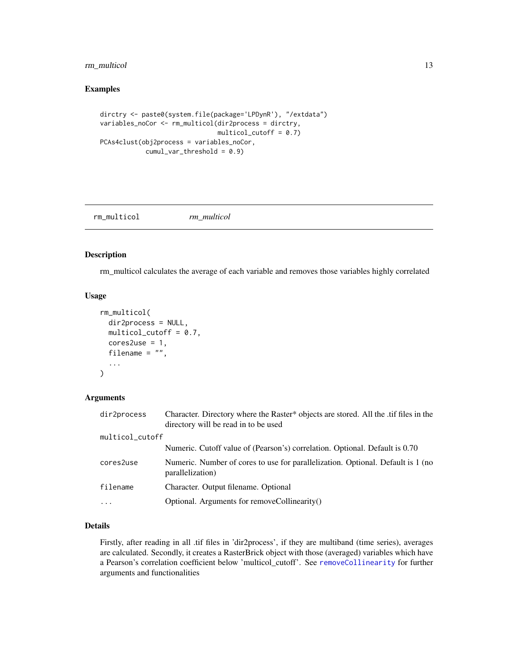# <span id="page-12-0"></span>rm\_multicol 13

# Examples

```
dirctry <- paste0(system.file(package='LPDynR'), "/extdata")
variables_noCor <- rm_multicol(dir2process = dirctry,
                               multicol-cutoff = 0.7)PCAs4clust(obj2process = variables_noCor,
           cumul\_var_threshold = 0.9)
```
<span id="page-12-1"></span>rm\_multicol *rm\_multicol*

#### Description

rm\_multicol calculates the average of each variable and removes those variables highly correlated

# Usage

```
rm_multicol(
  dir2process = NULL,
  multicol-cutoff = 0.7,
  cores2use = 1,
  filename = "",
  ...
\mathcal{L}
```
# Arguments

| dir2process     | Character. Directory where the Raster* objects are stored. All the .tif files in the<br>directory will be read in to be used |
|-----------------|------------------------------------------------------------------------------------------------------------------------------|
| multicol_cutoff |                                                                                                                              |
|                 | Numeric. Cutoff value of (Pearson's) correlation. Optional. Default is 0.70                                                  |
| cores2use       | Numeric. Number of cores to use for parallelization. Optional. Default is 1 (no<br>parallelization)                          |
| filename        | Character. Output filename. Optional                                                                                         |
| $\ddotsc$       | Optional. Arguments for removeCollinearity()                                                                                 |
|                 |                                                                                                                              |

# Details

Firstly, after reading in all .tif files in 'dir2process', if they are multiband (time series), averages are calculated. Secondly, it creates a RasterBrick object with those (averaged) variables which have a Pearson's correlation coefficient below 'multicol\_cutoff'. See [removeCollinearity](#page-0-0) for further arguments and functionalities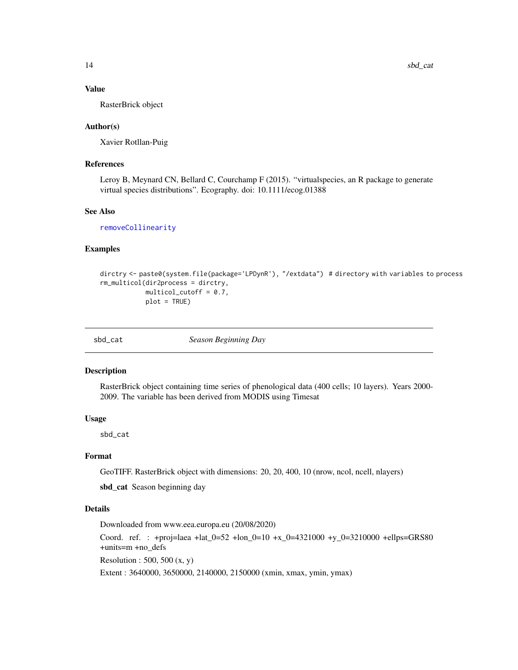# <span id="page-13-0"></span>Value

RasterBrick object

# Author(s)

Xavier Rotllan-Puig

# References

Leroy B, Meynard CN, Bellard C, Courchamp F (2015). "virtualspecies, an R package to generate virtual species distributions". Ecography. doi: 10.1111/ecog.01388

#### See Also

[removeCollinearity](#page-0-0)

# Examples

```
dirctry <- paste0(system.file(package='LPDynR'), "/extdata") # directory with variables to process
rm_multicol(dir2process = dirctry,
            multicol_cutoff = 0.7,
            plot = TRUE)
```

| sbd<br>cat |  |
|------------|--|

Season Beginning Day

#### Description

RasterBrick object containing time series of phenological data (400 cells; 10 layers). Years 2000- 2009. The variable has been derived from MODIS using Timesat

# Usage

sbd\_cat

# Format

GeoTIFF. RasterBrick object with dimensions: 20, 20, 400, 10 (nrow, ncol, ncell, nlayers)

sbd\_cat Season beginning day

#### Details

Downloaded from www.eea.europa.eu (20/08/2020)

Coord. ref. : +proj=laea +lat\_0=52 +lon\_0=10 +x\_0=4321000 +y\_0=3210000 +ellps=GRS80 +units=m +no\_defs

Resolution : 500, 500  $(x, y)$ 

Extent : 3640000, 3650000, 2140000, 2150000 (xmin, xmax, ymin, ymax)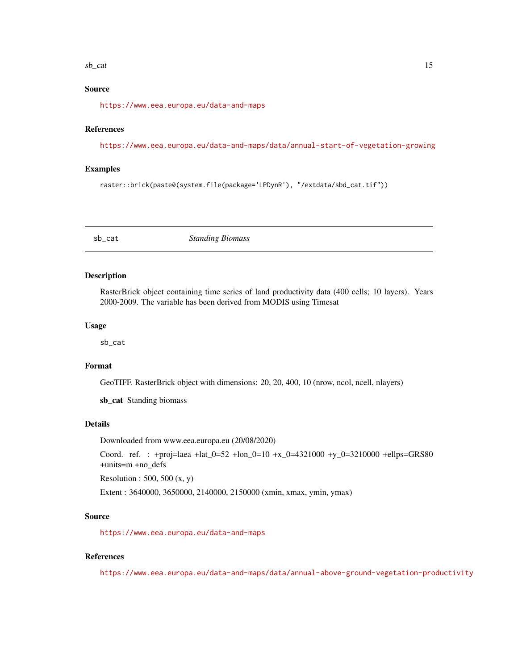#### <span id="page-14-0"></span> $sb\_cat$  15

# Source

<https://www.eea.europa.eu/data-and-maps>

#### References

<https://www.eea.europa.eu/data-and-maps/data/annual-start-of-vegetation-growing>

#### Examples

raster::brick(paste0(system.file(package='LPDynR'), "/extdata/sbd\_cat.tif"))

sb\_cat *Standing Biomass*

# Description

RasterBrick object containing time series of land productivity data (400 cells; 10 layers). Years 2000-2009. The variable has been derived from MODIS using Timesat

#### Usage

sb\_cat

# Format

GeoTIFF. RasterBrick object with dimensions: 20, 20, 400, 10 (nrow, ncol, ncell, nlayers)

sb\_cat Standing biomass

#### Details

Downloaded from www.eea.europa.eu (20/08/2020)

Coord. ref. : +proj=laea +lat\_0=52 +lon\_0=10 +x\_0=4321000 +y\_0=3210000 +ellps=GRS80 +units=m +no\_defs

Resolution : 500, 500 (x, y)

Extent : 3640000, 3650000, 2140000, 2150000 (xmin, xmax, ymin, ymax)

# Source

<https://www.eea.europa.eu/data-and-maps>

#### References

<https://www.eea.europa.eu/data-and-maps/data/annual-above-ground-vegetation-productivity>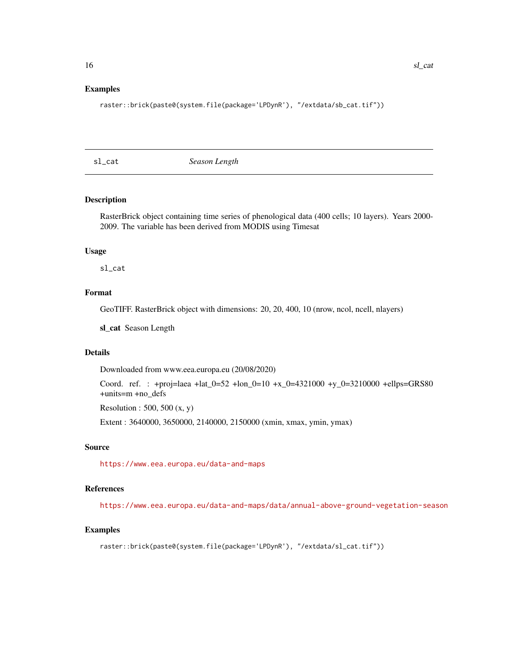```
raster::brick(paste0(system.file(package='LPDynR'), "/extdata/sb_cat.tif"))
```
sl\_cat *Season Length*

# Description

RasterBrick object containing time series of phenological data (400 cells; 10 layers). Years 2000- 2009. The variable has been derived from MODIS using Timesat

#### Usage

sl\_cat

# Format

GeoTIFF. RasterBrick object with dimensions: 20, 20, 400, 10 (nrow, ncol, ncell, nlayers)

sl\_cat Season Length

#### Details

Downloaded from www.eea.europa.eu (20/08/2020)

Coord. ref. : +proj=laea +lat\_0=52 +lon\_0=10 +x\_0=4321000 +y\_0=3210000 +ellps=GRS80 +units=m +no\_defs

Resolution : 500, 500 (x, y)

Extent : 3640000, 3650000, 2140000, 2150000 (xmin, xmax, ymin, ymax)

# Source

<https://www.eea.europa.eu/data-and-maps>

# References

<https://www.eea.europa.eu/data-and-maps/data/annual-above-ground-vegetation-season>

# Examples

raster::brick(paste0(system.file(package='LPDynR'), "/extdata/sl\_cat.tif"))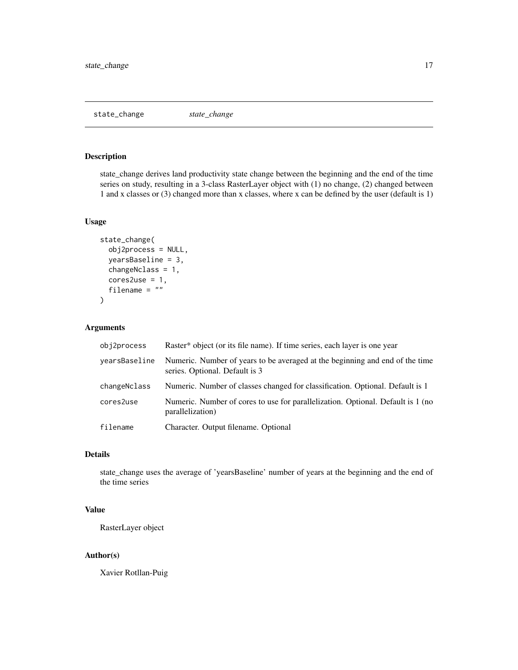<span id="page-16-1"></span><span id="page-16-0"></span>state\_change *state\_change*

# Description

state\_change derives land productivity state change between the beginning and the end of the time series on study, resulting in a 3-class RasterLayer object with (1) no change, (2) changed between 1 and x classes or (3) changed more than x classes, where x can be defined by the user (default is 1)

# Usage

```
state_change(
  obj2process = NULL,
 yearsBaseline = 3,
  changeNclass = 1,
 cores2use = 1,filename = ")
```
# Arguments

| obj2process   | Raster <sup>*</sup> object (or its file name). If time series, each layer is one year                          |
|---------------|----------------------------------------------------------------------------------------------------------------|
| yearsBaseline | Numeric. Number of years to be averaged at the beginning and end of the time<br>series. Optional. Default is 3 |
| changeNclass  | Numeric. Number of classes changed for classification. Optional. Default is 1                                  |
| cores2use     | Numeric. Number of cores to use for parallelization. Optional. Default is 1 (no<br>parallelization)            |
| filename      | Character. Output filename. Optional                                                                           |

# Details

state\_change uses the average of 'yearsBaseline' number of years at the beginning and the end of the time series

# Value

RasterLayer object

# Author(s)

Xavier Rotllan-Puig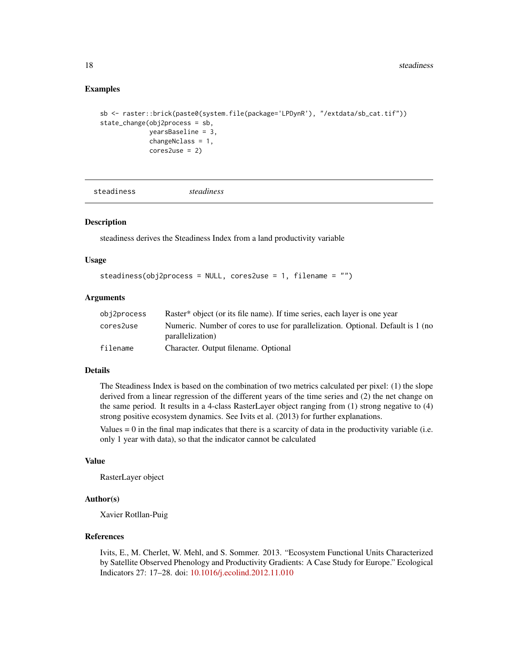# <span id="page-17-0"></span>Examples

```
sb <- raster::brick(paste0(system.file(package='LPDynR'), "/extdata/sb_cat.tif"))
state_change(obj2process = sb,
            yearsBaseline = 3,
            changeNclass = 1,
            cores2use = 2)
```

```
steadiness steadiness
```
# Description

steadiness derives the Steadiness Index from a land productivity variable

# Usage

```
steadiness(obj2process = NULL, cores2use = 1, filename = "")
```
# Arguments

| obj2process | Raster <sup>*</sup> object (or its file name). If time series, each layer is one year               |
|-------------|-----------------------------------------------------------------------------------------------------|
| cores2use   | Numeric. Number of cores to use for parallelization. Optional. Default is 1 (no<br>parallelization) |
| filename    | Character. Output filename. Optional                                                                |

#### Details

The Steadiness Index is based on the combination of two metrics calculated per pixel: (1) the slope derived from a linear regression of the different years of the time series and (2) the net change on the same period. It results in a 4-class RasterLayer object ranging from (1) strong negative to (4) strong positive ecosystem dynamics. See Ivits et al. (2013) for further explanations.

Values  $= 0$  in the final map indicates that there is a scarcity of data in the productivity variable (i.e. only 1 year with data), so that the indicator cannot be calculated

# Value

RasterLayer object

#### Author(s)

Xavier Rotllan-Puig

# References

Ivits, E., M. Cherlet, W. Mehl, and S. Sommer. 2013. "Ecosystem Functional Units Characterized by Satellite Observed Phenology and Productivity Gradients: A Case Study for Europe." Ecological Indicators 27: 17–28. doi: [10.1016/j.ecolind.2012.11.010](https://doi.org/10.1016/j.ecolind.2012.11.010)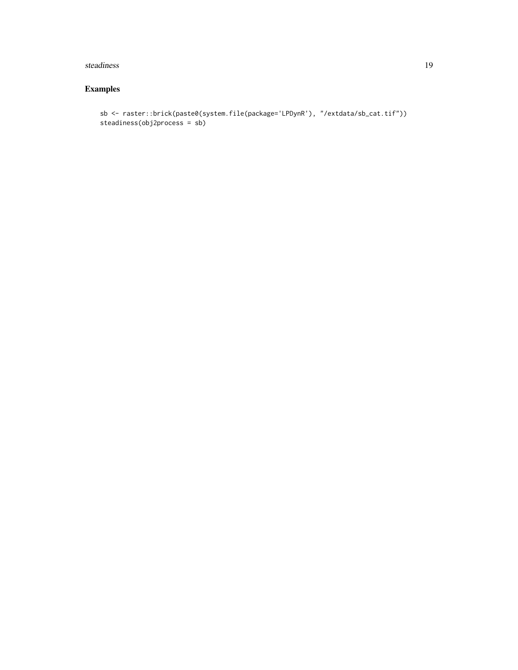#### steadiness and the steading steading steading steading steading steading steading steading steading steading steading steading steading steading steading steading steading steading steading steading steading steading stead

```
sb <- raster::brick(paste0(system.file(package='LPDynR'), "/extdata/sb_cat.tif"))
steadiness(obj2process = sb)
```